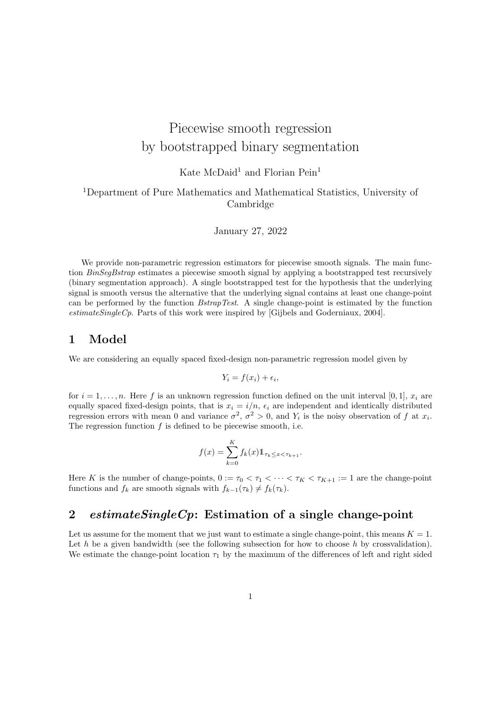# Piecewise smooth regression by bootstrapped binary segmentation

## Kate McDaid<sup>1</sup> and Florian Pein<sup>1</sup>

#### <sup>1</sup>Department of Pure Mathematics and Mathematical Statistics, University of Cambridge

#### January 27, 2022

We provide non-parametric regression estimators for piecewise smooth signals. The main function BinSegBstrap estimates a piecewise smooth signal by applying a bootstrapped test recursively (binary segmentation approach). A single bootstrapped test for the hypothesis that the underlying signal is smooth versus the alternative that the underlying signal contains at least one change-point can be performed by the function BstrapTest. A single change-point is estimated by the function estimateSingleCp. Parts of this work were inspired by [Gijbels and Goderniaux, 2004].

#### 1 Model

We are considering an equally spaced fixed-design non-parametric regression model given by

$$
Y_i = f(x_i) + \epsilon_i,
$$

for  $i = 1, \ldots, n$ . Here f is an unknown regression function defined on the unit interval [0, 1],  $x_i$  are equally spaced fixed-design points, that is  $x_i = i/n$ ,  $\epsilon_i$  are independent and identically distributed regression errors with mean 0 and variance  $\sigma^2$ ,  $\sigma^2 > 0$ , and  $Y_i$  is the noisy observation of f at  $x_i$ . The regression function  $f$  is defined to be piecewise smooth, i.e.

$$
f(x) = \sum_{k=0}^{K} f_k(x) 1\!\!1_{\tau_k \leq x < \tau_{k+1}}.
$$

Here K is the number of change-points,  $0 := \tau_0 < \tau_1 < \cdots < \tau_K < \tau_{K+1} := 1$  are the change-point functions and  $f_k$  are smooth signals with  $f_{k-1}(\tau_k) \neq f_k(\tau_k)$ .

## 2 estimate Single  $C_p$ : Estimation of a single change-point

Let us assume for the moment that we just want to estimate a single change-point, this means  $K = 1$ . Let h be a given bandwidth (see the following subsection for how to choose h by crossvalidation). We estimate the change-point location  $\tau_1$  by the maximum of the differences of left and right sided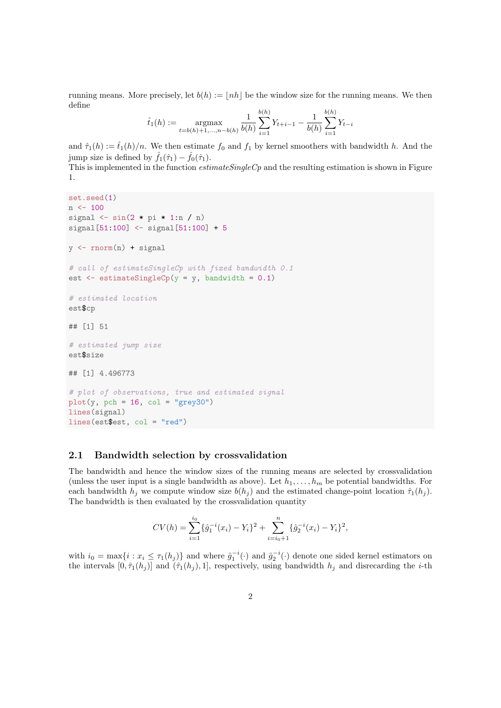running means. More precisely, let  $b(h) := |nh|$  be the window size for the running means. We then define

$$
\hat{t}_1(h) := \underset{t=b(h)+1,...,n-b(h)}{\operatorname{argmax}} \frac{1}{b(h)} \sum_{i=1}^{b(h)} Y_{t+i-1} - \frac{1}{b(h)} \sum_{i=1}^{b(h)} Y_{t-i}
$$

and  $\hat{\tau}_1(h) := \hat{t}_1(h)/n$ . We then estimate  $f_0$  and  $f_1$  by kernel smoothers with bandwidth h. And the jump size is defined by  $\hat{f}_1(\hat{\tau}_1) - \hat{f}_0(\hat{\tau}_1)$ .

This is implemented in the function  $estimateSingleCp$  and the resulting estimation is shown in Figure 1.

```
set.seed(1)
n \le -100signal \leq sin(2 * pi * 1:n / n)
signal [51:100] < - signal [51:100] + 5y \leftarrow \text{norm}(n) + \text{signal}# call of estimateSingleCp with fixed bandwidth 0.1
est \leq estimateSingleCp(y = y, bandwidth = 0.1)
# estimated location
est$cp
## [1] 51
# estimated jump size
est$size
## [1] 4.496773
# plot of observations, true and estimated signal
plot(y, pch = 16, col = "grey30")lines(signal)
lines(est$est, col = "red")
```
#### 2.1 Bandwidth selection by crossvalidation

The bandwidth and hence the window sizes of the running means are selected by crossvalidation (unless the user input is a single bandwidth as above). Let  $h_1, \ldots, h_m$  be potential bandwidths. For each bandwidth  $h_i$  we compute window size  $b(h_i)$  and the estimated change-point location  $\hat{\tau}_1(h_i)$ . The bandwidth is then evaluated by the crossvalidation quantity

$$
CV(h) = \sum_{i=1}^{i_0} {\{\hat{g}_1^{-i}(x_i) - Y_i\}}^2 + \sum_{i=i_0+1}^{n} {\{\hat{g}_2^{-i}(x_i) - Y_i\}}^2,
$$

with  $i_0 = \max\{i : x_i \leq \tau_1(h_j)\}\$  and where  $\hat{g}_1^{-i}(\cdot)$  and  $\hat{g}_2^{-i}(\cdot)$  denote one sided kernel estimators on the intervals  $[0, \hat{\tau}_1(h_j)]$  and  $(\hat{\tau}_1(h_j), 1]$ , respectively, using bandwidth  $h_j$  and disrecarding the *i*-th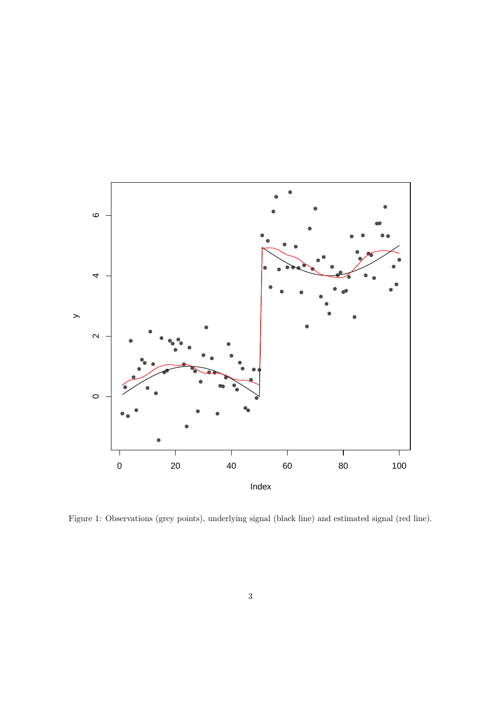

Figure 1: Observations (grey points), underlying signal (black line) and estimated signal (red line).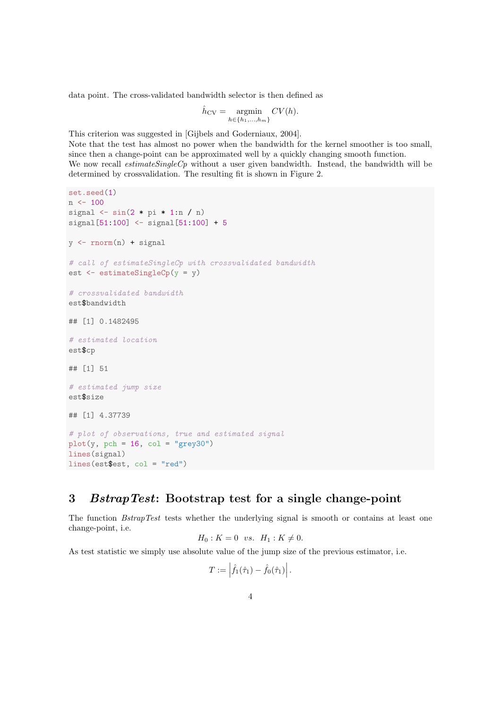data point. The cross-validated bandwidth selector is then defined as

$$
\hat{h}_{\rm CV} = \underset{h \in \{h_1, \ldots, h_m\}}{\operatorname{argmin}} CV(h).
$$

This criterion was suggested in [Gijbels and Goderniaux, 2004].

Note that the test has almost no power when the bandwidth for the kernel smoother is too small, since then a change-point can be approximated well by a quickly changing smooth function. We now recall *estimateSingleCp* without a user given bandwidth. Instead, the bandwidth will be determined by crossvalidation. The resulting fit is shown in Figure 2.

```
set.seed(1)
n \le -100signal \leq sin(2 * pi * 1:n / n)
signal[51:100] <- signal[51:100] + 5
y \leftarrow \text{norm}(n) + \text{signal}# call of estimateSingleCp with crossvalidated bandwidth
est <- estimateSingleCp(y = y)
# crossvalidated bandwidth
est$bandwidth
## [1] 0.1482495
# estimated location
est$cp
## [1] 51
# estimated jump size
est$size
## [1] 4.37739
# plot of observations, true and estimated signal
plot(y, pch = 16, col = "grey30")lines(signal)
lines(est$est, col = "red")
```
### 3 BstrapTest: Bootstrap test for a single change-point

The function *BstrapTest* tests whether the underlying signal is smooth or contains at least one change-point, i.e.

$$
H_0: K = 0
$$
 vs.  $H_1: K \neq 0$ .

As test statistic we simply use absolute value of the jump size of the previous estimator, i.e.

 $\sim$ 

$$
T:=\left|\hat{f}_1(\hat{\tau}_1)-\hat{f}_0(\hat{\tau}_1)\right|.
$$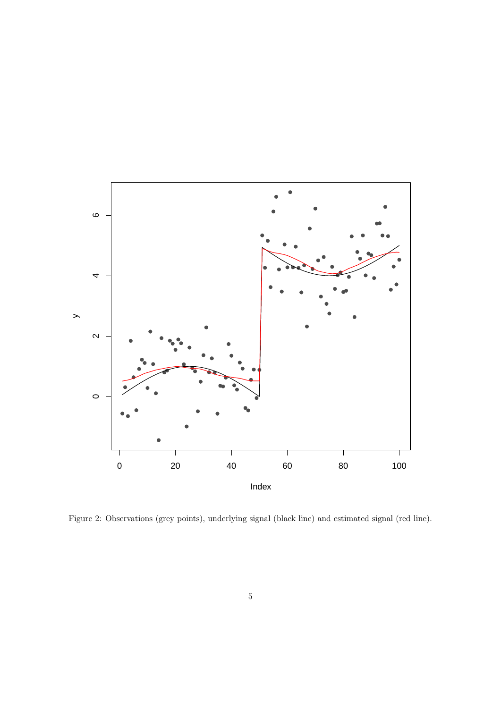

Figure 2: Observations (grey points), underlying signal (black line) and estimated signal (red line).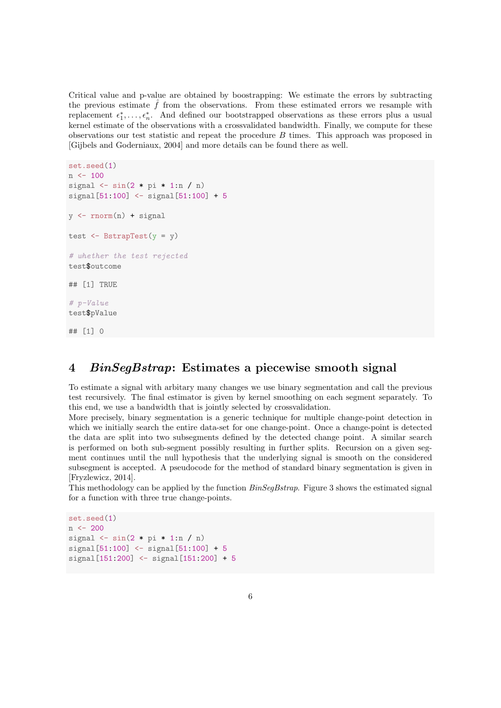Critical value and p-value are obtained by boostrapping: We estimate the errors by subtracting the previous estimate  $\hat{f}$  from the observations. From these estimated errors we resample with replacement  $\epsilon_1^*, \ldots, \epsilon_n^*$ . And defined our bootstrapped observations as these errors plus a usual kernel estimate of the observations with a crossvalidated bandwidth. Finally, we compute for these observations our test statistic and repeat the procedure B times. This approach was proposed in [Gijbels and Goderniaux, 2004] and more details can be found there as well.

```
set.seed(1)
n <- 100
signal \leq sin(2 * pi * 1:n / n)
signal[51:100] <- signal[51:100] + 5
y \leftarrow \text{rnorm}(n) + \text{signal}test \leq - BstrapTest(v = v)
# whether the test rejected
test$outcome
## [1] TRUE
# p-Value
test$pValue
## [1] 0
```
## 4 BinSegBstrap: Estimates a piecewise smooth signal

To estimate a signal with arbitary many changes we use binary segmentation and call the previous test recursively. The final estimator is given by kernel smoothing on each segment separately. To this end, we use a bandwidth that is jointly selected by crossvalidation.

More precisely, binary segmentation is a generic technique for multiple change-point detection in which we initially search the entire data-set for one change-point. Once a change-point is detected the data are split into two subsegments defined by the detected change point. A similar search is performed on both sub-segment possibly resulting in further splits. Recursion on a given segment continues until the null hypothesis that the underlying signal is smooth on the considered subsegment is accepted. A pseudocode for the method of standard binary segmentation is given in [Fryzlewicz, 2014].

This methodology can be applied by the function  $BinSegBstrap$ . Figure 3 shows the estimated signal for a function with three true change-points.

```
set.seed(1)
n <- 200
signal \leq sin(2 * pi * 1:n / n)
signal[51:100] <- signal[51:100] + 5
signal[151:200] <- signal[151:200] + 5
```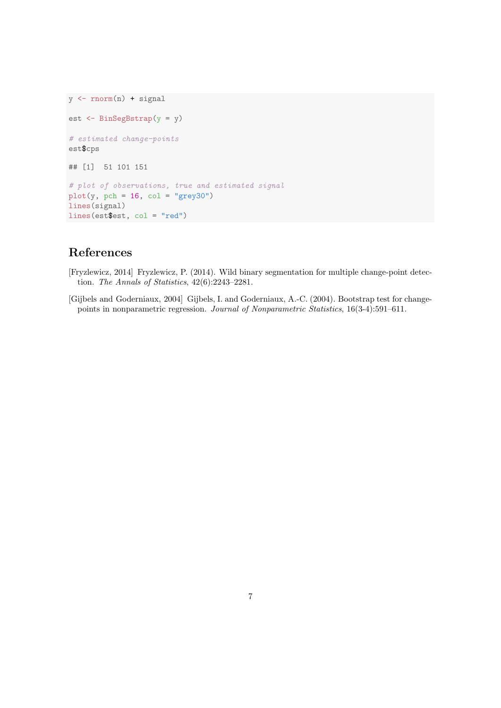```
y \leftarrow \text{norm}(n) + \text{signal}est <- BinSegBstrap(y = y)
# estimated change-points
est$cps
## [1] 51 101 151
# plot of observations, true and estimated signal
plot(y, pch = 16, col = "grey30")lines(signal)
lines(est$est, col = "red")
```
## References

- [Fryzlewicz, 2014] Fryzlewicz, P. (2014). Wild binary segmentation for multiple change-point detection. The Annals of Statistics, 42(6):2243–2281.
- [Gijbels and Goderniaux, 2004] Gijbels, I. and Goderniaux, A.-C. (2004). Bootstrap test for changepoints in nonparametric regression. Journal of Nonparametric Statistics, 16(3-4):591–611.